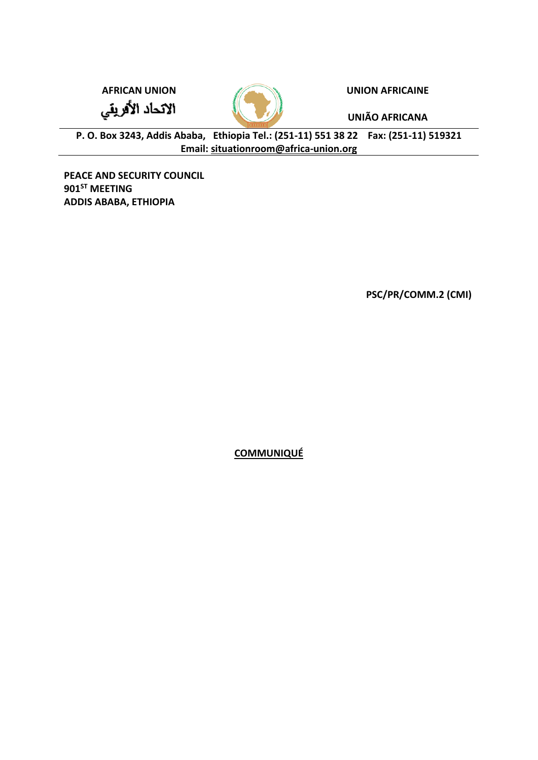الاتحاد الأفريقي



**AFRICAN UNION UNION AFRICAINE**

**UNIÃO AFRICANA**

**P. O. Box 3243, Addis Ababa, Ethiopia Tel.: (251-11) 551 38 22 Fax: (251-11) 519321 Email: [situationroom@africa-union.org](mailto:situationroom@africa-union.org)**

**PEACE AND SECURITY COUNCIL 901ST MEETING ADDIS ABABA, ETHIOPIA**

**PSC/PR/COMM.2 (CMI)**

**COMMUNIQUÉ**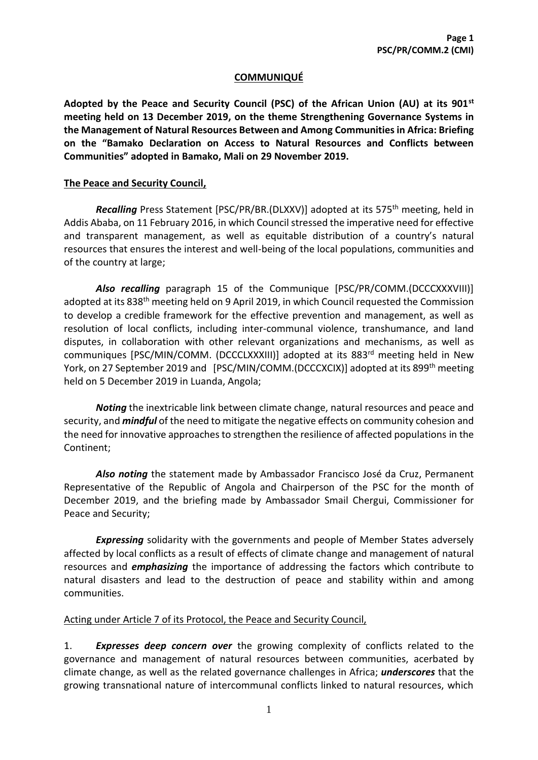## **COMMUNIQUÉ**

**Adopted by the Peace and Security Council (PSC) of the African Union (AU) at its 901st meeting held on 13 December 2019, on the theme Strengthening Governance Systems in the Management of Natural Resources Between and Among Communities in Africa: Briefing on the "Bamako Declaration on Access to Natural Resources and Conflicts between Communities" adopted in Bamako, Mali on 29 November 2019.** 

## **The Peace and Security Council,**

*Recalling* Press Statement [PSC/PR/BR.(DLXXV)] adopted at its 575th meeting, held in Addis Ababa, on 11 February 2016, in which Council stressed the imperative need for effective and transparent management, as well as equitable distribution of a country's natural resources that ensures the interest and well-being of the local populations, communities and of the country at large;

*Also recalling* paragraph 15 of the Communique [PSC/PR/COMM.(DCCCXXXVIII)] adopted at its 838<sup>th</sup> meeting held on 9 April 2019, in which Council requested the Commission to develop a credible framework for the effective prevention and management, as well as resolution of local conflicts, including inter-communal violence, transhumance, and land disputes, in collaboration with other relevant organizations and mechanisms, as well as communiques [PSC/MIN/COMM. (DCCCLXXXIII)] adopted at its 883rd meeting held in New York, on 27 September 2019 and [PSC/MIN/COMM.(DCCCXCIX)] adopted at its 899<sup>th</sup> meeting held on 5 December 2019 in Luanda, Angola;

*Noting* the inextricable link between climate change, natural resources and peace and security, and *mindful* of the need to mitigate the negative effects on community cohesion and the need for innovative approaches to strengthen the resilience of affected populations in the Continent;

*Also noting* the statement made by Ambassador Francisco José da Cruz, Permanent Representative of the Republic of Angola and Chairperson of the PSC for the month of December 2019, and the briefing made by Ambassador Smail Chergui, Commissioner for Peace and Security;

*Expressing* solidarity with the governments and people of Member States adversely affected by local conflicts as a result of effects of climate change and management of natural resources and *emphasizing* the importance of addressing the factors which contribute to natural disasters and lead to the destruction of peace and stability within and among communities.

## Acting under Article 7 of its Protocol, the Peace and Security Council,

1. *Expresses deep concern over* the growing complexity of conflicts related to the governance and management of natural resources between communities, acerbated by climate change, as well as the related governance challenges in Africa; *underscores* that the growing transnational nature of intercommunal conflicts linked to natural resources, which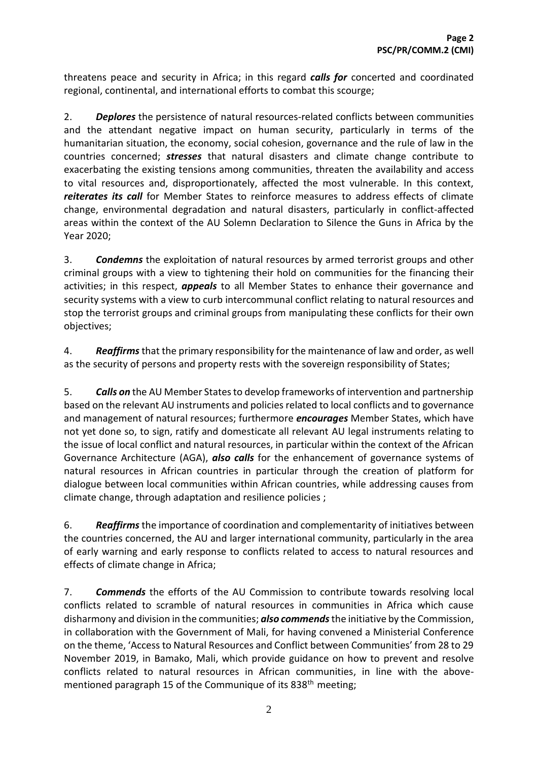threatens peace and security in Africa; in this regard *calls for* concerted and coordinated regional, continental, and international efforts to combat this scourge;

2. *Deplores* the persistence of natural resources-related conflicts between communities and the attendant negative impact on human security, particularly in terms of the humanitarian situation, the economy, social cohesion, governance and the rule of law in the countries concerned; *stresses* that natural disasters and climate change contribute to exacerbating the existing tensions among communities, threaten the availability and access to vital resources and, disproportionately, affected the most vulnerable. In this context, *reiterates its call* for Member States to reinforce measures to address effects of climate change, environmental degradation and natural disasters, particularly in conflict-affected areas within the context of the AU Solemn Declaration to Silence the Guns in Africa by the Year 2020;

3. *Condemns* the exploitation of natural resources by armed terrorist groups and other criminal groups with a view to tightening their hold on communities for the financing their activities; in this respect, *appeals* to all Member States to enhance their governance and security systems with a view to curb intercommunal conflict relating to natural resources and stop the terrorist groups and criminal groups from manipulating these conflicts for their own objectives;

4. *Reaffirms*that the primary responsibility for the maintenance of law and order, as well as the security of persons and property rests with the sovereign responsibility of States;

5. *Calls on* the AU Member States to develop frameworks of intervention and partnership based on the relevant AU instruments and policies related to local conflicts and to governance and management of natural resources; furthermore *encourages* Member States, which have not yet done so, to sign, ratify and domesticate all relevant AU legal instruments relating to the issue of local conflict and natural resources, in particular within the context of the African Governance Architecture (AGA), *also calls* for the enhancement of governance systems of natural resources in African countries in particular through the creation of platform for dialogue between local communities within African countries, while addressing causes from climate change, through adaptation and resilience policies ;

6. *Reaffirms* the importance of coordination and complementarity of initiatives between the countries concerned, the AU and larger international community, particularly in the area of early warning and early response to conflicts related to access to natural resources and effects of climate change in Africa;

7. *Commends* the efforts of the AU Commission to contribute towards resolving local conflicts related to scramble of natural resources in communities in Africa which cause disharmony and division in the communities; *also commends*the initiative by the Commission, in collaboration with the Government of Mali, for having convened a Ministerial Conference on the theme, 'Access to Natural Resources and Conflict between Communities' from 28 to 29 November 2019, in Bamako, Mali, which provide guidance on how to prevent and resolve conflicts related to natural resources in African communities, in line with the abovementioned paragraph 15 of the Communique of its 838<sup>th</sup> meeting;